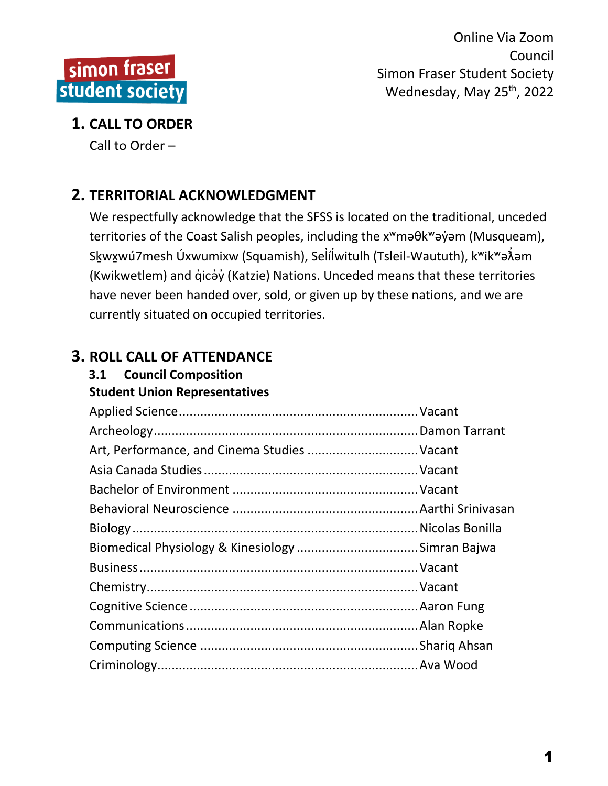

# **1. CALL TO ORDER**

Call to Order –

# **2. TERRITORIAL ACKNOWLEDGMENT**

We respectfully acknowledge that the SFSS is located on the traditional, unceded territories of the Coast Salish peoples, including the x<sup>w</sup>maθk<sup>w</sup>aγ jom (Musqueam), Skwxwú7mesh Úxwumixw (Squamish), Selílwitulh (Tsleil-Waututh), k<sup>w</sup>ik<sup>w</sup>ə $\tilde{\lambda}$ əm (Kwikwetlem) and q̓icə̓y̓(Katzie) Nations. Unceded means that these territories have never been handed over, sold, or given up by these nations, and we are currently situated on occupied territories.

# **3. ROLL CALL OF ATTENDANCE**

# **3.1 Council Composition**

**Student Union Representatives**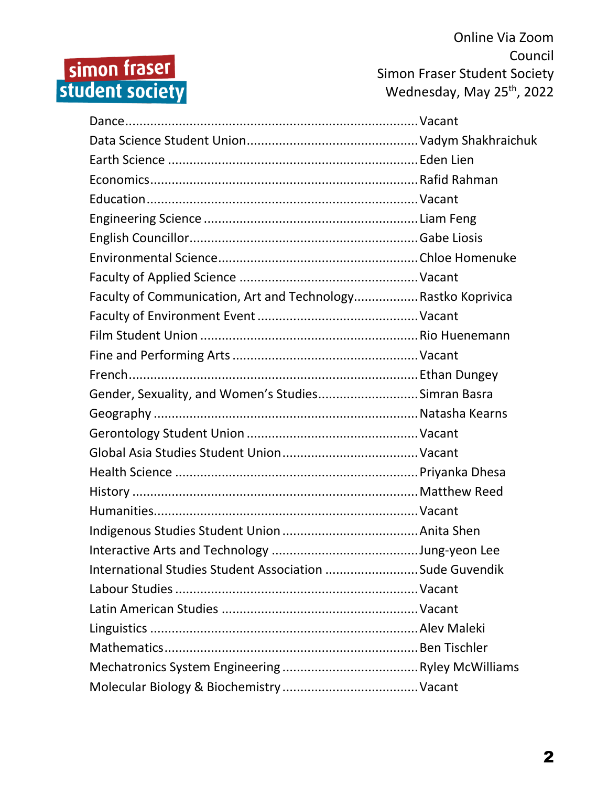# simon fraser<br>student society

Online Via Zoom Council Simon Fraser Student Society Wednesday, May 25<sup>th</sup>, 2022

| Faculty of Communication, Art and Technology Rastko Koprivica |  |
|---------------------------------------------------------------|--|
|                                                               |  |
|                                                               |  |
|                                                               |  |
|                                                               |  |
| Gender, Sexuality, and Women's StudiesSimran Basra            |  |
|                                                               |  |
|                                                               |  |
|                                                               |  |
|                                                               |  |
|                                                               |  |
|                                                               |  |
|                                                               |  |
|                                                               |  |
| International Studies Student Association Sude Guvendik       |  |
|                                                               |  |
|                                                               |  |
|                                                               |  |
|                                                               |  |
|                                                               |  |
|                                                               |  |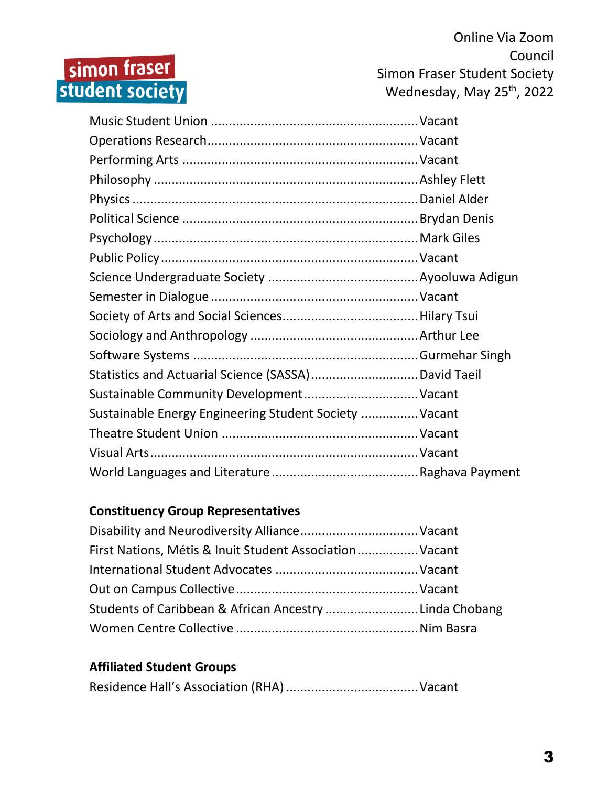# simon fraser<br>student society

Online Via Zoom Council Simon Fraser Student Society Wednesday, May 25<sup>th</sup>, 2022

| Sustainable Community Development Vacant               |  |
|--------------------------------------------------------|--|
| Sustainable Energy Engineering Student Society  Vacant |  |
|                                                        |  |
|                                                        |  |
|                                                        |  |

#### **Constituency Group Representatives**

| First Nations, Métis & Inuit Student Association Vacant |  |
|---------------------------------------------------------|--|
|                                                         |  |
|                                                         |  |
| Students of Caribbean & African Ancestry Linda Chobang  |  |
|                                                         |  |

#### **Affiliated Student Groups**

|--|--|--|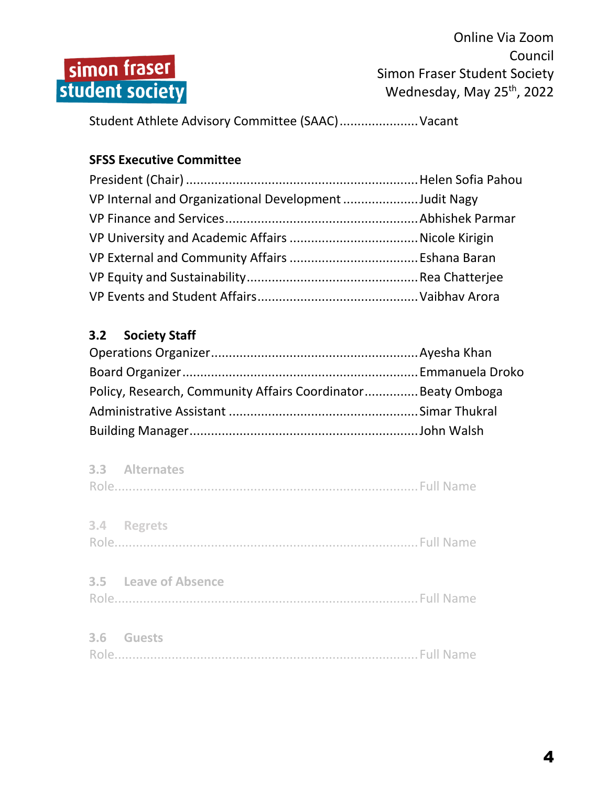

Student Athlete Advisory Committee (SAAC)......................Vacant

#### **SFSS Executive Committee**

| VP Internal and Organizational Development Judit Nagy |  |
|-------------------------------------------------------|--|
|                                                       |  |
|                                                       |  |
|                                                       |  |
|                                                       |  |
|                                                       |  |

# **3.2 Society Staff**

| Policy, Research, Community Affairs Coordinator Beaty Omboga |  |
|--------------------------------------------------------------|--|
|                                                              |  |
|                                                              |  |

| 3.3 Alternates       |  |
|----------------------|--|
| 3.4 Regrets          |  |
| 3.5 Leave of Absence |  |
| 3.6 Guests           |  |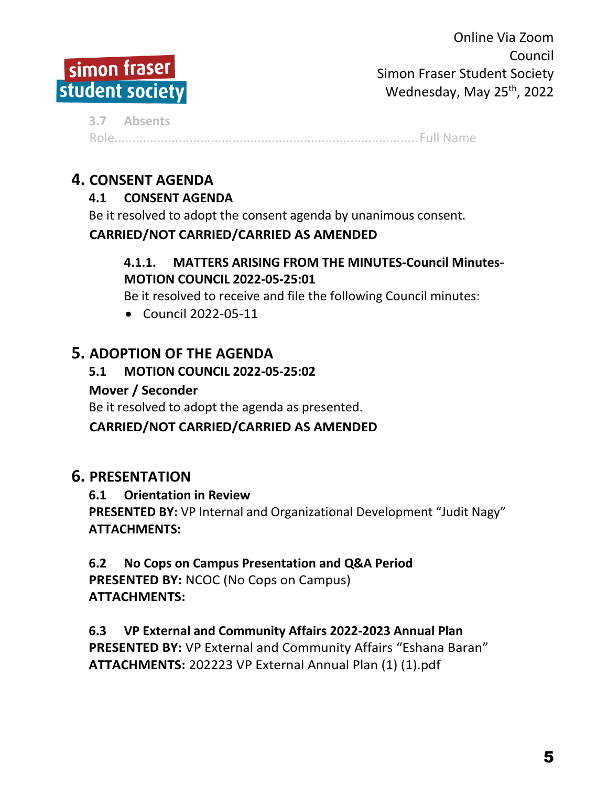

**3.7 Absents** Role.....................................................................................Full Name

# **4. CONSENT AGENDA**

## **4.1 CONSENT AGENDA**

Be it resolved to adopt the consent agenda by unanimous consent.

#### **CARRIED/NOT CARRIED/CARRIED AS AMENDED**

#### **4.1.1. MATTERS ARISING FROM THE MINUTES-Council Minutes-MOTION COUNCIL 2022-05-25:01**

Be it resolved to receive and file the following Council minutes:

Council 2022-05-11

# **5. ADOPTION OF THE AGENDA**

#### **5.1 MOTION COUNCIL 2022-05-25:02**

#### **Mover / Seconder**

Be it resolved to adopt the agenda as presented.

#### **CARRIED/NOT CARRIED/CARRIED AS AMENDED**

# **6. PRESENTATION**

#### **6.1 Orientation in Review**

**PRESENTED BY:** VP Internal and Organizational Development "Judit Nagy" **ATTACHMENTS:**

#### **6.2 No Cops on Campus Presentation and Q&A Period PRESENTED BY:** NCOC (No Cops on Campus)

**ATTACHMENTS:**

#### **6.3 VP External and Community Affairs 2022-2023 Annual Plan**

**PRESENTED BY:** VP External and Community Affairs "Eshana Baran" **ATTACHMENTS:** 202223 VP External Annual Plan (1) (1).pdf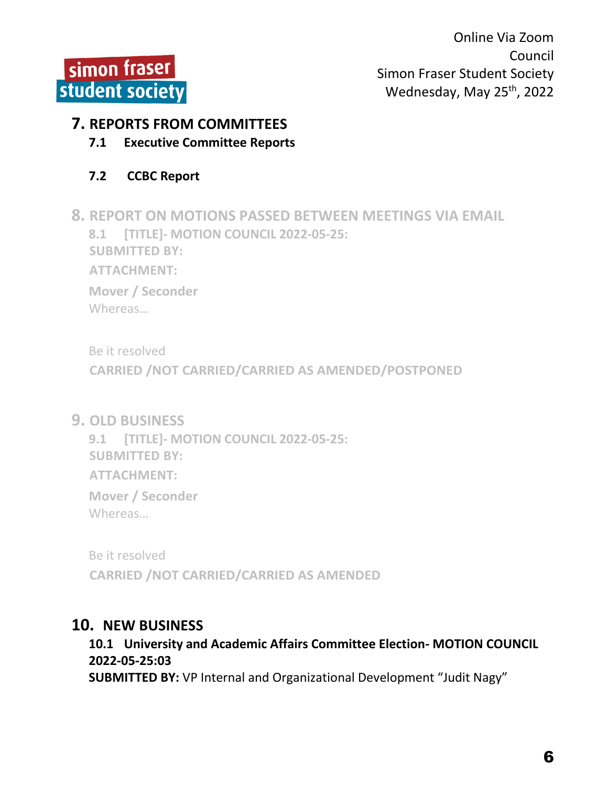

#### **7. REPORTS FROM COMMITTEES**

**7.1 Executive Committee Reports**

#### **7.2 CCBC Report**

**8. REPORT ON MOTIONS PASSED BETWEEN MEETINGS VIA EMAIL 8.1 [TITLE]- MOTION COUNCIL 2022-05-25: SUBMITTED BY: ATTACHMENT: Mover / Seconder** Whereas…

Be it resolved

**CARRIED /NOT CARRIED/CARRIED AS AMENDED/POSTPONED**

**9. OLD BUSINESS**

**9.1 [TITLE]- MOTION COUNCIL 2022-05-25: SUBMITTED BY: ATTACHMENT: Mover / Seconder** Whereas…

Be it resolved **CARRIED /NOT CARRIED/CARRIED AS AMENDED**

#### **10. NEW BUSINESS**

**10.1 University and Academic Affairs Committee Election- MOTION COUNCIL 2022-05-25:03 SUBMITTED BY:** VP Internal and Organizational Development "Judit Nagy"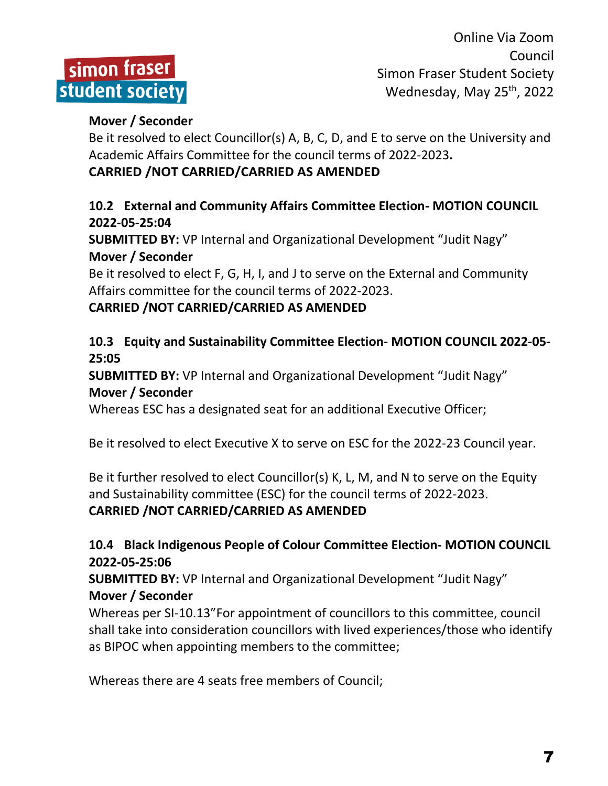

#### **Mover / Seconder**

Be it resolved to elect Councillor(s) A, B, C, D, and E to serve on the University and Academic Affairs Committee for the council terms of 2022-2023**.**

#### **CARRIED /NOT CARRIED/CARRIED AS AMENDED**

#### **10.2 External and Community Affairs Committee Election- MOTION COUNCIL 2022-05-25:04**

**SUBMITTED BY:** VP Internal and Organizational Development "Judit Nagy" **Mover / Seconder**

Be it resolved to elect F, G, H, I, and J to serve on the External and Community Affairs committee for the council terms of 2022-2023.

#### **CARRIED /NOT CARRIED/CARRIED AS AMENDED**

#### **10.3 Equity and Sustainability Committee Election- MOTION COUNCIL 2022-05- 25:05**

**SUBMITTED BY:** VP Internal and Organizational Development "Judit Nagy" **Mover / Seconder**

Whereas ESC has a designated seat for an additional Executive Officer;

Be it resolved to elect Executive X to serve on ESC for the 2022-23 Council year.

Be it further resolved to elect Councillor(s) K, L, M, and N to serve on the Equity and Sustainability committee (ESC) for the council terms of 2022-2023. **CARRIED /NOT CARRIED/CARRIED AS AMENDED**

## **10.4 Black Indigenous People of Colour Committee Election- MOTION COUNCIL 2022-05-25:06**

**SUBMITTED BY:** VP Internal and Organizational Development "Judit Nagy" **Mover / Seconder**

Whereas per SI-10.13"For appointment of councillors to this committee, council shall take into consideration councillors with lived experiences/those who identify as BIPOC when appointing members to the committee;

Whereas there are 4 seats free members of Council;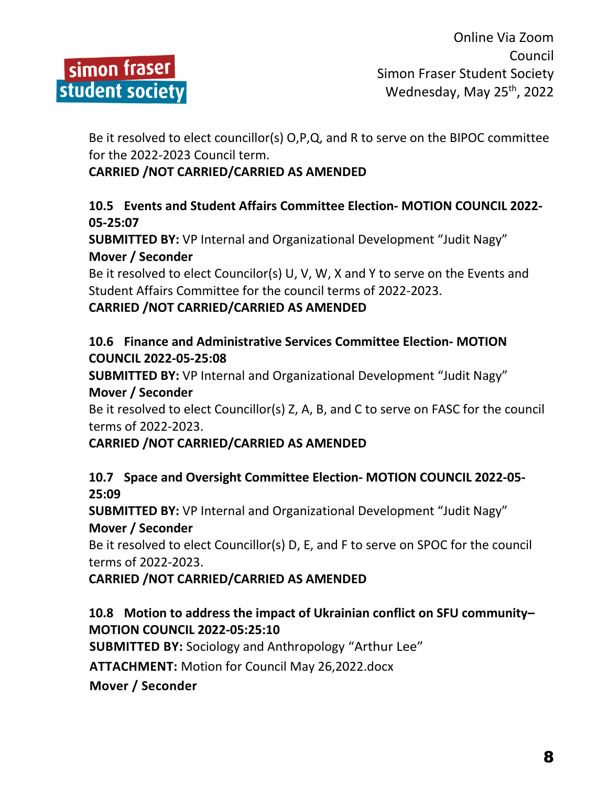

Be it resolved to elect councillor(s) O,P,Q, and R to serve on the BIPOC committee for the 2022-2023 Council term.

## **CARRIED /NOT CARRIED/CARRIED AS AMENDED**

#### **10.5 Events and Student Affairs Committee Election- MOTION COUNCIL 2022- 05-25:07**

**SUBMITTED BY:** VP Internal and Organizational Development "Judit Nagy" **Mover / Seconder**

Be it resolved to elect Councilor(s) U, V, W, X and Y to serve on the Events and Student Affairs Committee for the council terms of 2022-2023.

#### **CARRIED /NOT CARRIED/CARRIED AS AMENDED**

#### **10.6 Finance and Administrative Services Committee Election- MOTION COUNCIL 2022-05-25:08**

**SUBMITTED BY:** VP Internal and Organizational Development "Judit Nagy" **Mover / Seconder**

Be it resolved to elect Councillor(s) Z, A, B, and C to serve on FASC for the council terms of 2022-2023.

#### **CARRIED /NOT CARRIED/CARRIED AS AMENDED**

#### **10.7 Space and Oversight Committee Election- MOTION COUNCIL 2022-05- 25:09**

**SUBMITTED BY:** VP Internal and Organizational Development "Judit Nagy" **Mover / Seconder**

Be it resolved to elect Councillor(s) D, E, and F to serve on SPOC for the council terms of 2022-2023.

#### **CARRIED /NOT CARRIED/CARRIED AS AMENDED**

#### **10.8 Motion to address the impact of Ukrainian conflict on SFU community– MOTION COUNCIL 2022-05:25:10**

**SUBMITTED BY:** Sociology and Anthropology "Arthur Lee"

**ATTACHMENT:** Motion for Council May 26,2022.docx

**Mover / Seconder**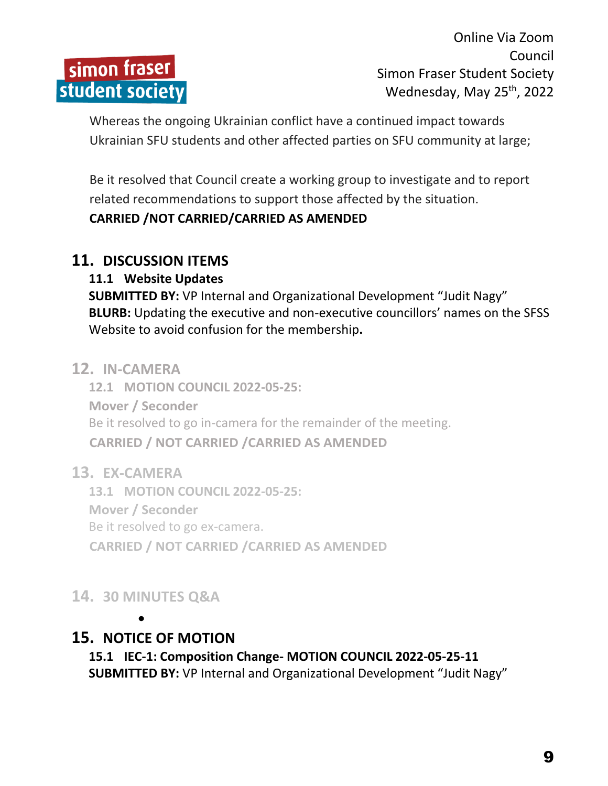

Whereas the ongoing Ukrainian conflict have a continued impact towards Ukrainian SFU students and other affected parties on SFU community at large;

Be it resolved that Council create a working group to investigate and to report related recommendations to support those affected by the situation.

#### **CARRIED /NOT CARRIED/CARRIED AS AMENDED**

#### **11. DISCUSSION ITEMS**

#### **11.1 Website Updates**

**SUBMITTED BY:** VP Internal and Organizational Development "Judit Nagy" **BLURB:** Updating the executive and non-executive councillors' names on the SFSS Website to avoid confusion for the membership**.**

#### **12. IN-CAMERA**

**12.1 MOTION COUNCIL 2022-05-25: Mover / Seconder** Be it resolved to go in-camera for the remainder of the meeting. **CARRIED / NOT CARRIED /CARRIED AS AMENDED** 

#### **13. EX-CAMERA**

**13.1 MOTION COUNCIL 2022-05-25: Mover / Seconder** Be it resolved to go ex-camera. **CARRIED / NOT CARRIED /CARRIED AS AMENDED**

# **14. 30 MINUTES Q&A**

 $\bullet$ 

# **15. NOTICE OF MOTION**

**15.1 IEC-1: Composition Change- MOTION COUNCIL 2022-05-25-11 SUBMITTED BY:** VP Internal and Organizational Development "Judit Nagy"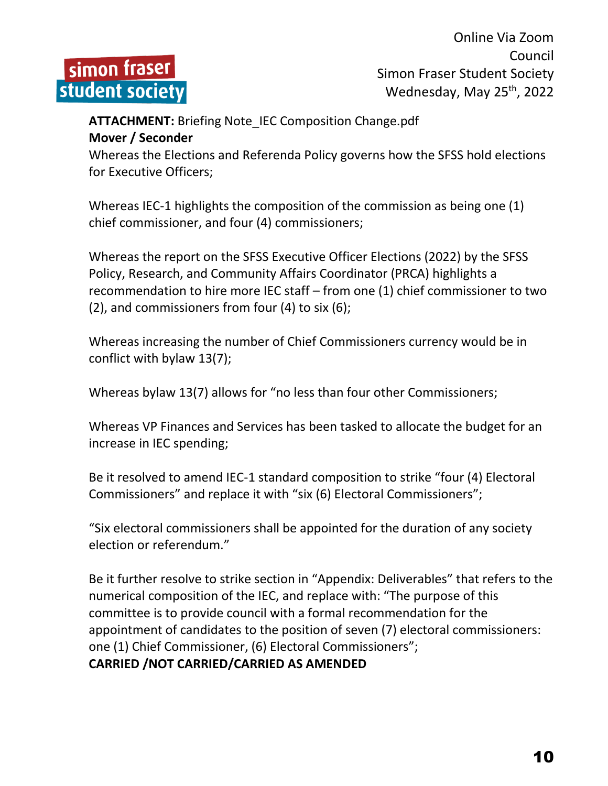

#### **ATTACHMENT:** Briefing Note\_IEC Composition Change.pdf **Mover / Seconder**

Whereas the Elections and Referenda Policy governs how the SFSS hold elections for Executive Officers;

Whereas IEC-1 highlights the composition of the commission as being one (1) chief commissioner, and four (4) commissioners;

Whereas the report on the SFSS Executive Officer Elections (2022) by the SFSS Policy, Research, and Community Affairs Coordinator (PRCA) highlights a recommendation to hire more IEC staff – from one (1) chief commissioner to two (2), and commissioners from four (4) to six (6);

Whereas increasing the number of Chief Commissioners currency would be in conflict with bylaw 13(7);

Whereas bylaw 13(7) allows for "no less than four other Commissioners;

Whereas VP Finances and Services has been tasked to allocate the budget for an increase in IEC spending;

Be it resolved to amend IEC-1 standard composition to strike "four (4) Electoral Commissioners" and replace it with "six (6) Electoral Commissioners";

"Six electoral commissioners shall be appointed for the duration of any society election or referendum."

Be it further resolve to strike section in "Appendix: Deliverables" that refers to the numerical composition of the IEC, and replace with: "The purpose of this committee is to provide council with a formal recommendation for the appointment of candidates to the position of seven (7) electoral commissioners: one (1) Chief Commissioner, (6) Electoral Commissioners"; **CARRIED /NOT CARRIED/CARRIED AS AMENDED**